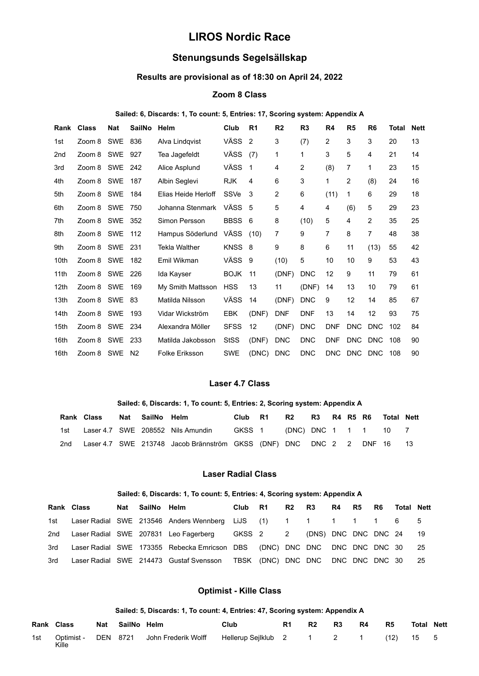# **LIROS Nordic Race**

## **Stenungsunds Segelsällskap**

## **Results are provisional as of 18:30 on April 24, 2022**

## **Zoom 8 Class**

#### **Sailed: 6, Discards: 1, To count: 5, Entries: 17, Scoring system: Appendix A**

| Rank            | <b>Class</b> | <b>Nat</b> | <b>SailNo</b>  | Helm                  | Club        | R <sub>1</sub> | R <sub>2</sub> | R <sub>3</sub> | R <sub>4</sub> | R <sub>5</sub> | R <sub>6</sub> | Total | <b>Nett</b> |
|-----------------|--------------|------------|----------------|-----------------------|-------------|----------------|----------------|----------------|----------------|----------------|----------------|-------|-------------|
| 1st             | Zoom 8 SWE   |            | 836            | Alva Lindqvist        | VÄSS        | 2              | 3              | (7)            | 2              | 3              | 3              | 20    | 13          |
| 2 <sub>nd</sub> | Zoom 8 SWE   |            | 927            | Tea Jagefeldt         | VÄSS        | (7)            | 1              | 1              | 3              | 5              | 4              | 21    | 14          |
| 3rd             | Zoom 8 SWE   |            | 242            | Alice Asplund         | VÄSS        | -1             | 4              | 2              | (8)            | $\overline{7}$ | 1              | 23    | 15          |
| 4th             | Zoom 8 SWE   |            | 187            | Albin Seglevi         | <b>RJK</b>  | 4              | 6              | 3              | 1              | $\overline{2}$ | (8)            | 24    | 16          |
| 5th             | Zoom 8 SWE   |            | 184            | Elias Heide Herloff   | SSVe        | 3              | 2              | 6              | (11)           | $\mathbf 1$    | 6              | 29    | 18          |
| 6th             | Zoom 8 SWE   |            | 750            | Johanna Stenmark      | VÄSS        | -5             | 5              | 4              | 4              | (6)            | 5              | 29    | 23          |
| 7th             | Zoom 8 SWE   |            | 352            | Simon Persson         | <b>BBSS</b> | 6              | 8              | (10)           | 5              | $\overline{4}$ | 2              | 35    | 25          |
| 8th             | Zoom 8 SWE   |            | 112            | Hampus Söderlund      | VÄSS        | (10)           | $\overline{7}$ | 9              | $\overline{7}$ | 8              | $\overline{7}$ | 48    | 38          |
| 9th             | Zoom 8 SWE   |            | 231            | <b>Tekla Walther</b>  | <b>KNSS</b> | -8             | 9              | 8              | 6              | 11             | (13)           | 55    | 42          |
| 10th            | Zoom 8 SWE   |            | 182            | Emil Wikman           | VÄSS        | 9              | (10)           | 5              | 10             | 10             | 9              | 53    | 43          |
| 11th            | Zoom 8 SWE   |            | 226            | Ida Kayser            | <b>BOJK</b> | 11             | (DNF)          | <b>DNC</b>     | 12             | 9              | 11             | 79    | 61          |
| 12th            | Zoom 8 SWE   |            | 169            | My Smith Mattsson     | <b>HSS</b>  | 13             | 11             | (DNF)          | 14             | 13             | 10             | 79    | 61          |
| 13th            | Zoom 8 SWE   |            | 83             | Matilda Nilsson       | VÄSS        | 14             | (DNF)          | <b>DNC</b>     | 9              | 12             | 14             | 85    | 67          |
| 14th            | Zoom 8 SWE   |            | 193            | Vidar Wickström       | <b>EBK</b>  | (DNF)          | <b>DNF</b>     | <b>DNF</b>     | 13             | 14             | 12             | 93    | 75          |
| 15th            | Zoom 8 SWE   |            | 234            | Alexandra Möller      | <b>SFSS</b> | 12             | (DNF)          | <b>DNC</b>     | <b>DNF</b>     | <b>DNC</b>     | <b>DNC</b>     | 102   | 84          |
| 16th            | Zoom 8 SWE   |            | 233            | Matilda Jakobsson     | <b>StSS</b> | (DNF)          | <b>DNC</b>     | <b>DNC</b>     | <b>DNF</b>     | <b>DNC</b>     | <b>DNC</b>     | 108   | 90          |
| 16th            | Zoom 8 SWE   |            | N <sub>2</sub> | <b>Folke Eriksson</b> | <b>SWE</b>  | (DNC)          | <b>DNC</b>     | <b>DNC</b>     | <b>DNC</b>     | DNC            | <b>DNC</b>     | 108   | 90          |

## **Laser 4.7 Class**

#### **Sailed: 6, Discards: 1, To count: 5, Entries: 2, Scoring system: Appendix A**

|     | Rank Class Nat SailNo Helm |  |                                                                        | Club R1 | R2 R3 R4 R5 R6 Total Nett |  |  |  |
|-----|----------------------------|--|------------------------------------------------------------------------|---------|---------------------------|--|--|--|
|     |                            |  | 1st Laser 4.7 SWE 208552 Nils Amundin GKSS 1 (DNC) DNC 1 1 1 10 7      |         |                           |  |  |  |
| 2nd |                            |  | Laser 4.7 SWE 213748 Jacob Brännström GKSS (DNF) DNC DNC 2 2 DNF 16 13 |         |                           |  |  |  |

#### **Laser Radial Class**

#### **Sailed: 6, Discards: 1, To count: 5, Entries: 4, Scoring system: Appendix A**

|     | <b>Rank Class</b> | Nat SailNo Helm |                                                                                  | Club R1 |  | R <sub>2</sub> R <sub>3</sub> R <sub>4</sub> R <sub>5</sub> R <sub>6</sub> Total Nett |  |  |    |
|-----|-------------------|-----------------|----------------------------------------------------------------------------------|---------|--|---------------------------------------------------------------------------------------|--|--|----|
|     |                   |                 | 1st Laser Radial SWE 213546 Anders Wennberg LiJS (1) 1 1 1 1 1 1 6               |         |  |                                                                                       |  |  | -5 |
|     |                   |                 | 2nd Laser Radial SWE 207831 Leo Fagerberg GKSS 2 2 (DNS) DNC DNC DNC 24 19       |         |  |                                                                                       |  |  |    |
|     |                   |                 | 3rd Laser Radial SWE 173355 Rebecka Emricson DBS (DNC) DNC DNC DNC DNC DNC 30 25 |         |  |                                                                                       |  |  |    |
| 3rd |                   |                 | Laser Radial SWE 214473 Gustaf Svensson TBSK (DNC) DNC DNC DNC DNC DNC 30 25     |         |  |                                                                                       |  |  |    |

#### **Optimist - Kille Class**

#### **Sailed: 5, Discards: 1, To count: 4, Entries: 47, Scoring system: Appendix A**

| Rank Class |       | Nat SailNo Helm |                                                                             | Club | R1 | R2 | R3 | <b>R4</b> | <b>R5</b> | <b>Total Nett</b> |  |
|------------|-------|-----------------|-----------------------------------------------------------------------------|------|----|----|----|-----------|-----------|-------------------|--|
| 1st l      | Kille |                 | Optimist - DEN 8721 John Frederik Wolff Hellerup Sejlklub 2 1 2 1 (12) 15 5 |      |    |    |    |           |           |                   |  |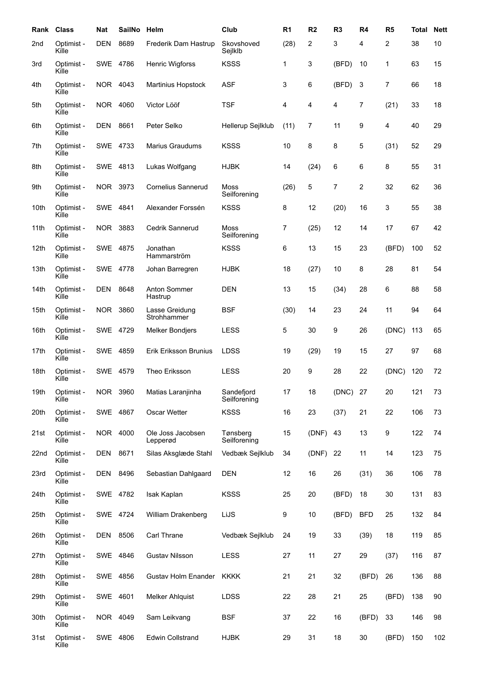| Rank             | <b>Class</b>        | <b>Nat</b> | <b>SailNo</b> | Helm                          | Club                       | R <sub>1</sub> | R <sub>2</sub> | R <sub>3</sub> | R <sub>4</sub> | R <sub>5</sub> | <b>Total</b> | <b>Nett</b> |
|------------------|---------------------|------------|---------------|-------------------------------|----------------------------|----------------|----------------|----------------|----------------|----------------|--------------|-------------|
| 2nd              | Optimist -<br>Kille | <b>DEN</b> | 8689          | Frederik Dam Hastrup          | Skovshoved<br>Sejlklb      | (28)           | 2              | 3              | 4              | 2              | 38           | 10          |
| 3rd              | Optimist -<br>Kille | SWE 4786   |               | <b>Henric Wigforss</b>        | <b>KSSS</b>                | 1              | 3              | (BFD)          | 10             | 1              | 63           | 15          |
| 4th              | Optimist -<br>Kille | <b>NOR</b> | 4043          | Martinius Hopstock            | <b>ASF</b>                 | 3              | 6              | (BFD)          | 3              | 7              | 66           | 18          |
| 5th              | Optimist -<br>Kille | NOR.       | 4060          | Victor Lööf                   | <b>TSF</b>                 | 4              | 4              | 4              | $\overline{7}$ | (21)           | 33           | 18          |
| 6th              | Optimist -<br>Kille | <b>DEN</b> | 8661          | Peter Selko                   | Hellerup Sejlklub          | (11)           | $\overline{7}$ | 11             | 9              | 4              | 40           | 29          |
| 7th              | Optimist -<br>Kille | SWE 4733   |               | <b>Marius Graudums</b>        | <b>KSSS</b>                | 10             | 8              | 8              | 5              | (31)           | 52           | 29          |
| 8th              | Optimist -<br>Kille | SWE 4813   |               | Lukas Wolfgang                | <b>HJBK</b>                | 14             | (24)           | 6              | 6              | 8              | 55           | 31          |
| 9th              | Optimist -<br>Kille | NOR 3973   |               | <b>Cornelius Sannerud</b>     | Moss<br>Seilforening       | (26)           | 5              | 7              | $\overline{c}$ | 32             | 62           | 36          |
| 10th             | Optimist -<br>Kille | SWE        | 4841          | Alexander Forssén             | <b>KSSS</b>                | 8              | 12             | (20)           | 16             | 3              | 55           | 38          |
| 11th             | Optimist -<br>Kille | NOR        | 3883          | Cedrik Sannerud               | Moss<br>Seilforening       | 7              | (25)           | 12             | 14             | 17             | 67           | 42          |
| 12 <sub>th</sub> | Optimist -<br>Kille | SWE 4875   |               | Jonathan<br>Hammarström       | <b>KSSS</b>                | 6              | 13             | 15             | 23             | (BFD)          | 100          | 52          |
| 13th             | Optimist -<br>Kille | <b>SWE</b> | 4778          | Johan Barregren               | <b>HJBK</b>                | 18             | (27)           | 10             | 8              | 28             | 81           | 54          |
| 14th             | Optimist -<br>Kille | <b>DEN</b> | 8648          | Anton Sommer<br>Hastrup       | <b>DEN</b>                 | 13             | 15             | (34)           | 28             | 6              | 88           | 58          |
| 15th             | Optimist -<br>Kille | NOR        | 3860          | Lasse Greidung<br>Strohhammer | <b>BSF</b>                 | (30)           | 14             | 23             | 24             | 11             | 94           | 64          |
| 16th             | Optimist -<br>Kille | SWE 4729   |               | <b>Melker Bondjers</b>        | <b>LESS</b>                | 5              | 30             | 9              | 26             | (DNC)          | 113          | 65          |
| 17th             | Optimist -<br>Kille | SWE 4859   |               | <b>Erik Eriksson Brunius</b>  | <b>LDSS</b>                | 19             | (29)           | 19             | 15             | 27             | 97           | 68          |
| 18th             | Optimist -<br>Kille | SWE 4579   |               | Theo Eriksson                 | <b>LESS</b>                | 20             | 9              | 28             | 22             | (DNC)          | 120          | 72          |
| 19th             | Optimist -<br>Kille | NOR        | 3960          | Matias Laranjinha             | Sandefjord<br>Seilforening | 17             | 18             | (DNC)          | 27             | 20             | 121          | 73          |
| 20th             | Optimist -<br>Kille | SWE 4867   |               | Oscar Wetter                  | <b>KSSS</b>                | 16             | 23             | (37)           | 21             | 22             | 106          | 73          |
| 21st             | Optimist -<br>Kille | NOR 4000   |               | Ole Joss Jacobsen<br>Lepperød | Tønsberg<br>Seilforening   | 15             | (DNF)          | 43             | 13             | 9              | 122          | 74          |
| 22nd             | Optimist -<br>Kille | DEN        | 8671          | Silas Aksglæde Stahl          | Vedbæk Sejlklub            | 34             | (DNF)          | 22             | 11             | 14             | 123          | 75          |
| 23rd             | Optimist -<br>Kille | DEN        | 8496          | Sebastian Dahlgaard           | <b>DEN</b>                 | 12             | 16             | 26             | (31)           | 36             | 106          | 78          |
| 24th             | Optimist -<br>Kille | SWE 4782   |               | Isak Kaplan                   | <b>KSSS</b>                | 25             | 20             | (BFD)          | 18             | 30             | 131          | 83          |
| 25th             | Optimist -<br>Kille | SWE 4724   |               | William Drakenberg            | LiJS                       | 9              | 10             | (BFD)          | <b>BFD</b>     | 25             | 132          | 84          |
| 26th             | Optimist -<br>Kille | DEN        | 8506          | Carl Thrane                   | Vedbæk Sejlklub            | 24             | 19             | 33             | (39)           | 18             | 119          | 85          |
| 27th             | Optimist -<br>Kille | SWE 4846   |               | <b>Gustav Nilsson</b>         | <b>LESS</b>                | 27             | 11             | 27             | 29             | (37)           | 116          | 87          |
| 28th             | Optimist -<br>Kille | SWE 4856   |               | Gustav Holm Enander           | <b>KKKK</b>                | 21             | 21             | 32             | (BFD)          | 26             | 136          | 88          |
| 29th             | Optimist -<br>Kille | SWE 4601   |               | <b>Melker Ahlquist</b>        | LDSS                       | 22             | 28             | 21             | 25             | (BFD)          | 138          | 90          |
| 30th             | Optimist -<br>Kille | NOR 4049   |               | Sam Leikvang                  | <b>BSF</b>                 | 37             | 22             | 16             | (BFD)          | 33             | 146          | 98          |
| 31st             | Optimist -<br>Kille | SWE 4806   |               | <b>Edwin Collstrand</b>       | <b>HJBK</b>                | 29             | 31             | 18             | 30             | (BFD)          | 150          | 102         |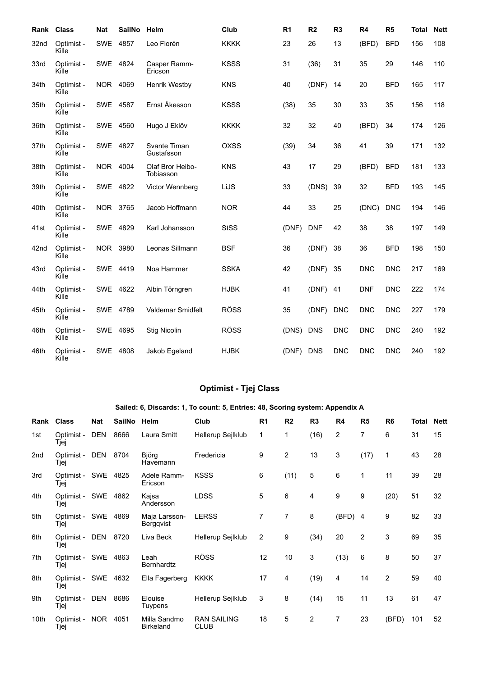| Rank Class |                     | Nat        | <b>SailNo</b> | Helm                          | Club        | R <sub>1</sub> | R <sub>2</sub> | R <sub>3</sub> | R4         | R <sub>5</sub> | <b>Total</b> | <b>Nett</b> |
|------------|---------------------|------------|---------------|-------------------------------|-------------|----------------|----------------|----------------|------------|----------------|--------------|-------------|
| 32nd       | Optimist -<br>Kille | <b>SWE</b> | 4857          | Leo Florén                    | <b>KKKK</b> | 23             | 26             | 13             | (BFD)      | <b>BFD</b>     | 156          | 108         |
| 33rd       | Optimist -<br>Kille | SWE 4824   |               | Casper Ramm-<br>Ericson       | <b>KSSS</b> | 31             | (36)           | 31             | 35         | 29             | 146          | 110         |
| 34th       | Optimist -<br>Kille | NOR 4069   |               | Henrik Westby                 | <b>KNS</b>  | 40             | (DNF)          | 14             | 20         | <b>BFD</b>     | 165          | 117         |
| 35th       | Optimist -<br>Kille | SWE 4587   |               | Ernst Åkesson                 | <b>KSSS</b> | (38)           | 35             | 30             | 33         | 35             | 156          | 118         |
| 36th       | Optimist -<br>Kille | SWE 4560   |               | Hugo J Eklöv                  | <b>KKKK</b> | 32             | 32             | 40             | (BFD)      | 34             | 174          | 126         |
| 37th       | Optimist -<br>Kille | SWE 4827   |               | Svante Timan<br>Gustafsson    | <b>OXSS</b> | (39)           | 34             | 36             | 41         | 39             | 171          | 132         |
| 38th       | Optimist -<br>Kille | NOR 4004   |               | Olaf Bror Heibo-<br>Tobiasson | <b>KNS</b>  | 43             | 17             | 29             | (BFD)      | <b>BFD</b>     | 181          | 133         |
| 39th       | Optimist -<br>Kille | <b>SWE</b> | 4822          | Victor Wennberg               | LiJS        | 33             | (DNS)          | 39             | 32         | <b>BFD</b>     | 193          | 145         |
| 40th       | Optimist -<br>Kille | NOR 3765   |               | Jacob Hoffmann                | <b>NOR</b>  | 44             | 33             | 25             | (DNC)      | <b>DNC</b>     | 194          | 146         |
| 41st       | Optimist -<br>Kille | SWE 4829   |               | Karl Johansson                | <b>StSS</b> | (DNF)          | <b>DNF</b>     | 42             | 38         | 38             | 197          | 149         |
| 42nd       | Optimist -<br>Kille | <b>NOR</b> | 3980          | Leonas Sillmann               | <b>BSF</b>  | 36             | (DNF)          | 38             | 36         | <b>BFD</b>     | 198          | 150         |
| 43rd       | Optimist -<br>Kille | SWE 4419   |               | Noa Hammer                    | <b>SSKA</b> | 42             | (DNF)          | 35             | <b>DNC</b> | <b>DNC</b>     | 217          | 169         |
| 44th       | Optimist -<br>Kille | SWE 4622   |               | Albin Törngren                | <b>HJBK</b> | 41             | (DNF)          | 41             | <b>DNF</b> | <b>DNC</b>     | 222          | 174         |
| 45th       | Optimist -<br>Kille | SWE 4789   |               | <b>Valdemar Smidfelt</b>      | <b>RÖSS</b> | 35             | (DNF)          | <b>DNC</b>     | <b>DNC</b> | <b>DNC</b>     | 227          | 179         |
| 46th       | Optimist -<br>Kille | SWE 4695   |               | <b>Stig Nicolin</b>           | <b>RÖSS</b> | (DNS)          | <b>DNS</b>     | <b>DNC</b>     | <b>DNC</b> | <b>DNC</b>     | 240          | 192         |
| 46th       | Optimist -<br>Kille | SWE        | 4808          | Jakob Egeland                 | <b>HJBK</b> | (DNF)          | <b>DNS</b>     | <b>DNC</b>     | <b>DNC</b> | <b>DNC</b>     | 240          | 192         |

# **Optimist - Tjej Class**

# **Sailed: 6, Discards: 1, To count: 5, Entries: 48, Scoring system: Appendix A**

| Rank | <b>Class</b>       | <b>Nat</b> | <b>SailNo</b> | Helm                             | Club                              | R <sub>1</sub> | R <sub>2</sub> | R3   | R4    | R <sub>5</sub> | R <sub>6</sub> | Total | <b>Nett</b> |
|------|--------------------|------------|---------------|----------------------------------|-----------------------------------|----------------|----------------|------|-------|----------------|----------------|-------|-------------|
| 1st  | Optimist -<br>Tjej | <b>DEN</b> | 8666          | Laura Smitt                      | Hellerup Sejlklub                 | 1              | 1              | (16) | 2     | $\overline{7}$ | 6              | 31    | 15          |
| 2nd  | Optimist -<br>Tjej | DEN        | 8704          | Björg<br>Havemann                | Fredericia                        | 9              | 2              | 13   | 3     | (17)           | 1              | 43    | 28          |
| 3rd  | Optimist -<br>Tjej | <b>SWE</b> | 4825          | Adele Ramm-<br>Ericson           | <b>KSSS</b>                       | 6              | (11)           | 5    | 6     | $\mathbf{1}$   | 11             | 39    | 28          |
| 4th  | Optimist -<br>Tjej | SWE        | 4862          | Kajsa<br>Andersson               | LDSS                              | 5              | 6              | 4    | 9     | 9              | (20)           | 51    | 32          |
| 5th  | Optimist -<br>Tjej | <b>SWE</b> | 4869          | Maja Larsson-<br>Bergqvist       | <b>LERSS</b>                      | $\overline{7}$ | 7              | 8    | (BFD) | 4              | 9              | 82    | 33          |
| 6th  | Optimist -<br>Tjej | DEN        | 8720          | Liva Beck                        | Hellerup Sejlklub                 | 2              | 9              | (34) | 20    | $\overline{2}$ | 3              | 69    | 35          |
| 7th  | Optimist -<br>Tjej | <b>SWE</b> | 4863          | Leah<br><b>Bernhardtz</b>        | <b>RÖSS</b>                       | 12             | 10             | 3    | (13)  | 6              | 8              | 50    | 37          |
| 8th  | Optimist -<br>Tjej | <b>SWE</b> | 4632          | Ella Fagerberg                   | <b>KKKK</b>                       | 17             | 4              | (19) | 4     | 14             | $\overline{2}$ | 59    | 40          |
| 9th  | Optimist -<br>Tjej | <b>DEN</b> | 8686          | Elouise<br>Tuypens               | Hellerup Sejlklub                 | 3              | 8              | (14) | 15    | 11             | 13             | 61    | 47          |
| 10th | Optimist -<br>Tjej | <b>NOR</b> | 4051          | Milla Sandmo<br><b>Birkeland</b> | <b>RAN SAILING</b><br><b>CLUB</b> | 18             | 5              | 2    | 7     | 23             | (BFD)          | 101   | 52          |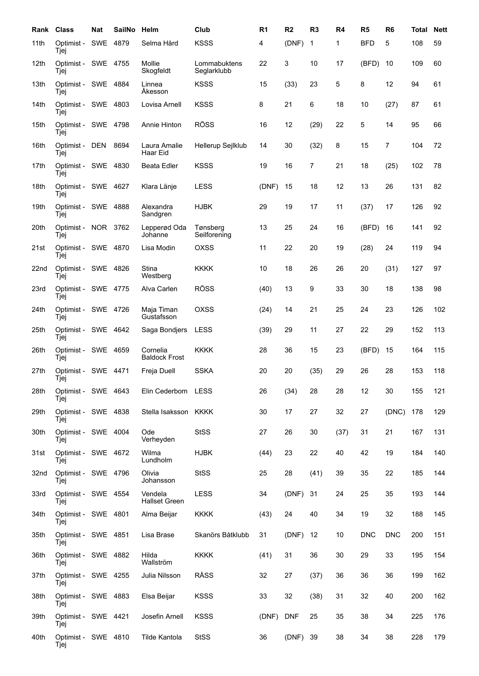| Rank             | Class                       | Nat        | <b>SailNo</b> | Helm                             | Club                        | R <sub>1</sub> | R <sub>2</sub> | R <sub>3</sub> | R4   | R <sub>5</sub> | R <sub>6</sub> | <b>Total</b> | <b>Nett</b> |
|------------------|-----------------------------|------------|---------------|----------------------------------|-----------------------------|----------------|----------------|----------------|------|----------------|----------------|--------------|-------------|
| 11th             | Optimist -<br>Tjej          | SWE        | 4879          | Selma Hård                       | <b>KSSS</b>                 | 4              | (DNF)          | 1              | 1    | <b>BFD</b>     | 5              | 108          | 59          |
| 12 <sub>th</sub> | Optimist - SWE 4755<br>Tjej |            |               | Mollie<br>Skogfeldt              | Lommabuktens<br>Seglarklubb | 22             | 3              | 10             | 17   | (BFD)          | 10             | 109          | 60          |
| 13th             | Optimist -<br>Tjej          | SWE        | 4884          | Linnea<br>Akesson                | <b>KSSS</b>                 | 15             | (33)           | 23             | 5    | 8              | 12             | 94           | 61          |
| 14th             | Optimist -<br>Tjej          | SWE        | 4803          | Lovisa Arnell                    | <b>KSSS</b>                 | 8              | 21             | 6              | 18   | 10             | (27)           | 87           | 61          |
| 15th             | Optimist -<br>Tjej          | SWE        | 4798          | Annie Hinton                     | <b>RÖSS</b>                 | 16             | 12             | (29)           | 22   | 5              | 14             | 95           | 66          |
| 16th             | Optimist -<br>Tjej          | <b>DEN</b> | 8694          | Laura Amalie<br>Haar Eid         | Hellerup Sejlklub           | 14             | 30             | (32)           | 8    | 15             | $\overline{7}$ | 104          | 72          |
| 17th             | Optimist - SWE<br>Tjej      |            | 4830          | <b>Beata Edler</b>               | <b>KSSS</b>                 | 19             | 16             | 7              | 21   | 18             | (25)           | 102          | 78          |
| 18th             | Optimist - SWE 4627<br>Tjej |            |               | Klara Länje                      | <b>LESS</b>                 | (DNF)          | 15             | 18             | 12   | 13             | 26             | 131          | 82          |
| 19th             | Optimist -<br>Tjej          | SWE        | 4888          | Alexandra<br>Sandgren            | <b>HJBK</b>                 | 29             | 19             | 17             | 11   | (37)           | 17             | 126          | 92          |
| 20th             | Optimist -<br>Tjej          | NOR 3762   |               | Lepperød Oda<br>Johanne          | Tønsberg<br>Seilforening    | 13             | 25             | 24             | 16   | (BFD)          | 16             | 141          | 92          |
| 21st             | Optimist -<br>Tjej          | SWE        | 4870          | Lisa Modin                       | OXSS                        | 11             | 22             | 20             | 19   | (28)           | 24             | 119          | 94          |
| 22nd             | Optimist -<br>Tjej          | SWE        | 4826          | Stina<br>Westberg                | <b>KKKK</b>                 | 10             | 18             | 26             | 26   | 20             | (31)           | 127          | 97          |
| 23rd             | Optimist -<br>Tjej          | SWE 4775   |               | Alva Carlen                      | <b>RÖSS</b>                 | (40)           | 13             | 9              | 33   | 30             | 18             | 138          | 98          |
| 24th             | Optimist - SWE 4726<br>Tjej |            |               | Maja Timan<br>Gustafsson         | OXSS                        | (24)           | 14             | 21             | 25   | 24             | 23             | 126          | 102         |
| 25th             | Optimist - SWE 4642<br>Tjej |            |               | Saga Bondjers                    | <b>LESS</b>                 | (39)           | 29             | 11             | 27   | 22             | 29             | 152          | 113         |
| 26th             | Optimist - SWE<br>Tjej      |            | 4659          | Cornelia<br><b>Baldock Frost</b> | <b>KKKK</b>                 | 28             | 36             | 15             | 23   | (BFD)          | 15             | 164          | 115         |
| 27th             | Optimist -<br>Tjej          | SWE        | 4471          | Freja Duell                      | <b>SSKA</b>                 | 20             | 20             | (35)           | 29   | 26             | 28             | 153          | 118         |
| 28th             | Optimist - SWE 4643<br>Tjej |            |               | Elin Cederbom LESS               |                             | 26             | (34)           | 28             | 28   | 12             | 30             | 155          | 121         |
| 29th             | Optimist - SWE 4838<br>Tjej |            |               | Stella Isaksson KKKK             |                             | 30             | 17             | 27             | 32   | 27             | (DNC)          | 178          | 129         |
| 30th             | Optimist - SWE 4004<br>Tjej |            |               | Ode<br>Verheyden                 | <b>StSS</b>                 | 27             | 26             | 30             | (37) | 31             | 21             | 167          | 131         |
| 31st             | Optimist - SWE 4672<br>Tjej |            |               | Wilma<br>Lundholm                | <b>HJBK</b>                 | (44)           | 23             | 22             | 40   | 42             | 19             | 184          | 140         |
| 32nd             | Optimist - SWE 4796<br>Tjej |            |               | Olivia<br>Johansson              | <b>StSS</b>                 | 25             | 28             | (41)           | 39   | 35             | 22             | 185          | 144         |
| 33rd             | Optimist - SWE 4554<br>Tjej |            |               | Vendela<br><b>Hallset Green</b>  | <b>LESS</b>                 | 34             | (DNF)          | 31             | 24   | 25             | 35             | 193          | 144         |
| 34th             | Optimist - SWE 4801<br>Tjej |            |               | Alma Beijar                      | <b>KKKK</b>                 | (43)           | 24             | 40             | 34   | 19             | 32             | 188          | 145         |
| 35th             | Optimist - SWE 4851<br>Tjej |            |               | Lisa Brase                       | Skanörs Båtklubb            | 31             | (DNF)          | 12             | 10   | <b>DNC</b>     | <b>DNC</b>     | 200          | 151         |
| 36th             | Optimist - SWE 4882<br>Tjej |            |               | Hilda<br>Wallström               | <b>KKKK</b>                 | (41)           | 31             | 36             | 30   | 29             | 33             | 195          | 154         |
| 37th             | Optimist - SWE 4255<br>Tjej |            |               | Julia Nilsson                    | RÅSS                        | 32             | 27             | (37)           | 36   | 36             | 36             | 199          | 162         |
| 38th             | Optimist - SWE 4883<br>Tjej |            |               | Elsa Beijar                      | <b>KSSS</b>                 | 33             | 32             | (38)           | 31   | 32             | 40             | 200          | 162         |
| 39th             | Optimist - SWE 4421<br>Tjej |            |               | Josefin Arnell                   | <b>KSSS</b>                 | (DNF)          | <b>DNF</b>     | 25             | 35   | 38             | 34             | 225          | 176         |
| 40th             | Optimist - SWE 4810<br>Tjej |            |               | Tilde Kantola                    | <b>StSS</b>                 | 36             | (DNF)          | 39             | 38   | 34             | 38             | 228          | 179         |